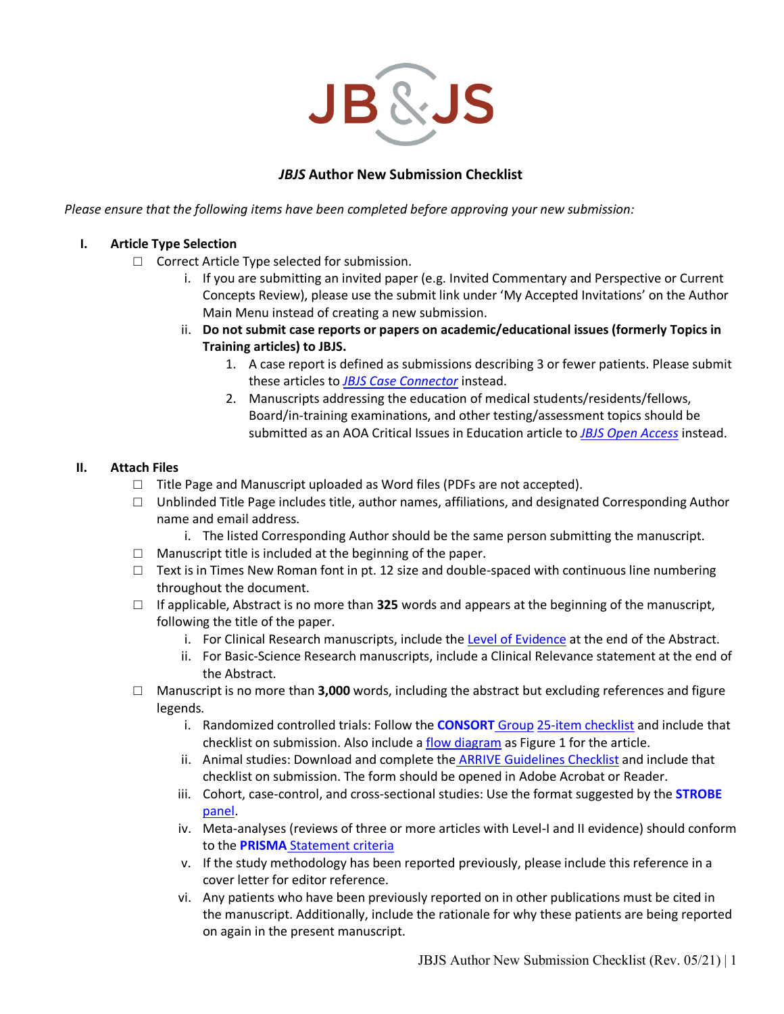

# *JBJS* **Author New Submission Checklist**

*Please ensure that the following items have been completed before approving your new submission:*

#### **I. Article Type Selection**

- □ Correct Article Type selected for submission.
	- i. If you are submitting an invited paper (e.g. Invited Commentary and Perspective or Current Concepts Review), please use the submit link under 'My Accepted Invitations' on the Author Main Menu instead of creating a new submission.
	- ii. **Do not submit case reports or papers on academic/educational issues (formerly Topics in Training articles) to JBJS.**
		- 1. A case report is defined as submissions describing 3 or fewer patients. Please submit these articles to *[JBJS Case Connector](http://www.editorialmanager.com/cc)* instead.
		- 2. Manuscripts addressing the education of medical students/residents/fellows, Board/in-training examinations, and other testing/assessment topics should be submitted as an AOA Critical Issues in Education article to *[JBJS Open Access](http://www.editorialmanager.com/jbjsoa)* instead.

### **II. Attach Files**

- □ Title Page and Manuscript uploaded as Word files (PDFs are not accepted).
- $\Box$  Unblinded Title Page includes title, author names, affiliations, and designated Corresponding Author name and email address.
	- i. The listed Corresponding Author should be the same person submitting the manuscript.
- $\Box$  Manuscript title is included at the beginning of the paper.
- $\Box$  Text is in Times New Roman font in pt. 12 size and double-spaced with continuous line numbering throughout the document.
- □ If applicable, Abstract is no more than **325** words and appears at the beginning of the manuscript, following the title of the paper.
	- i. For Clinical Research manuscripts, include the [Level of Evidence](https://journals.lww.com/jbjsjournal/Pages/Journals-Level-of-Evidence.aspx) at the end of the Abstract.
	- ii. For Basic-Science Research manuscripts, include a Clinical Relevance statement at the end of the Abstract.
- □ Manuscript is no more than **3,000** words, including the abstract but excluding references and figure legends.
	- i. Randomized controlled trials: Follow the **[CONSORT](http://www.consort-statement.org/)** Group [25-item checklist](http://www.consort-statement.org/Media/Default/Downloads/CONSORT%202010%20Checklist.doc) and include that checklist on submission. Also include a [flow diagram](http://www.consort-statement.org/consort-statement/flow-diagram) as Figure 1 for the article.
	- ii. Animal studies: Download and complete the [ARRIVE Guidelines Checklist](https://www.nc3rs.org.uk/sites/default/files/documents/Guidelines/NC3Rs%20ARRIVE%20Guidelines%20Checklist%20%28fillable%29.pdf) and include that checklist on submission. The form should be opened in Adobe Acrobat or Reader.
	- iii. Cohort, case-control, and cross-sectional studies: Use the format suggested by the **[STROBE](http://www.strobe-statement.org/)** [panel.](http://www.strobe-statement.org/)
	- iv. Meta-analyses (reviews of three or more articles with Level-I and II evidence) should conform to the **PRISMA** [Statement criteria](http://www.prisma-statement.org/)
	- v. If the study methodology has been reported previously, please include this reference in a cover letter for editor reference.
	- vi. Any patients who have been previously reported on in other publications must be cited in the manuscript. Additionally, include the rationale for why these patients are being reported on again in the present manuscript.